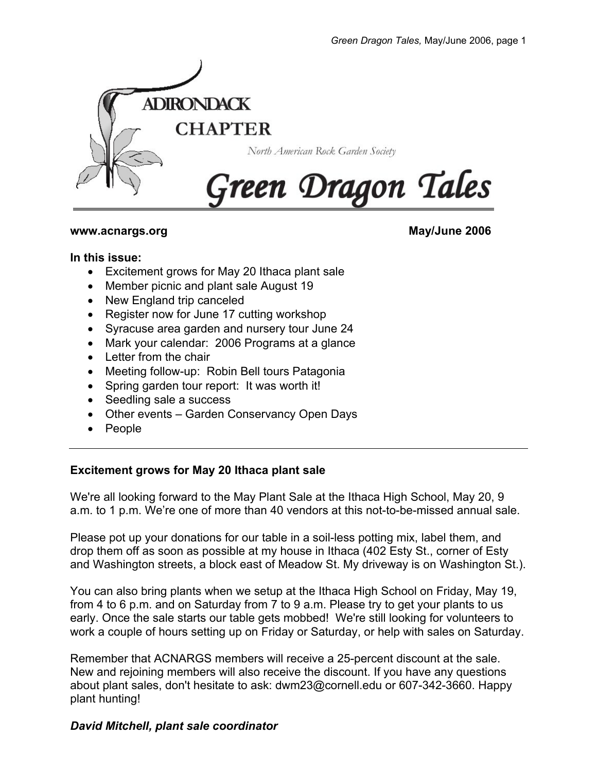

#### **www.acnargs.org May/June 2006**

#### **In this issue:**

- Excitement grows for May 20 Ithaca plant sale
- Member picnic and plant sale August 19
- New England trip canceled
- Register now for June 17 cutting workshop
- Syracuse area garden and nursery tour June 24
- Mark your calendar: 2006 Programs at a glance
- Letter from the chair
- Meeting follow-up: Robin Bell tours Patagonia
- Spring garden tour report: It was worth it!
- Seedling sale a success
- Other events Garden Conservancy Open Days
- People

## **Excitement grows for May 20 Ithaca plant sale**

We're all looking forward to the May Plant Sale at the Ithaca High School, May 20, 9 a.m. to 1 p.m. We're one of more than 40 vendors at this not-to-be-missed annual sale.

Please pot up your donations for our table in a soil-less potting mix, label them, and drop them off as soon as possible at my house in Ithaca (402 Esty St., corner of Esty and Washington streets, a block east of Meadow St. My driveway is on Washington St.).

You can also bring plants when we setup at the Ithaca High School on Friday, May 19, from 4 to 6 p.m. and on Saturday from 7 to 9 a.m. Please try to get your plants to us early. Once the sale starts our table gets mobbed! We're still looking for volunteers to work a couple of hours setting up on Friday or Saturday, or help with sales on Saturday.

Remember that ACNARGS members will receive a 25-percent discount at the sale. New and rejoining members will also receive the discount. If you have any questions about plant sales, don't hesitate to ask: dwm23@cornell.edu or 607-342-3660. Happy plant hunting!

## *David Mitchell, plant sale coordinator*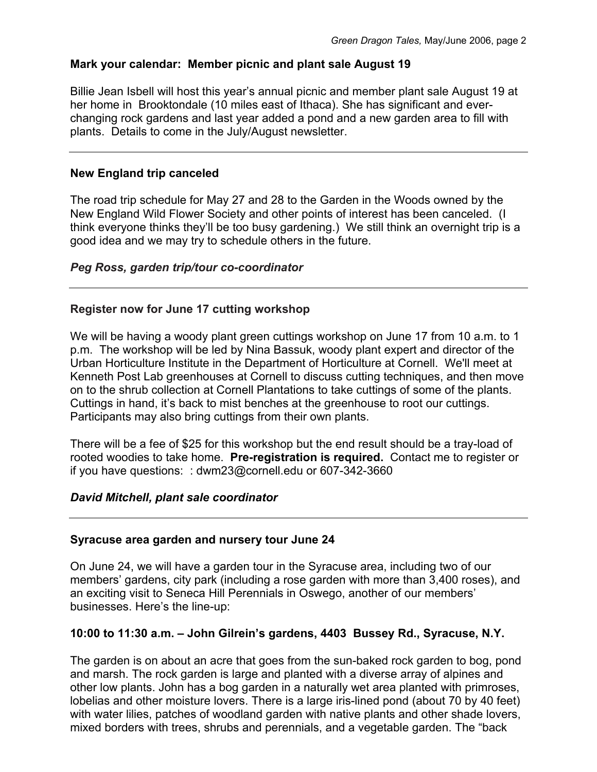## **Mark your calendar: Member picnic and plant sale August 19**

Billie Jean Isbell will host this year's annual picnic and member plant sale August 19 at her home in Brooktondale (10 miles east of Ithaca). She has significant and everchanging rock gardens and last year added a pond and a new garden area to fill with plants. Details to come in the July/August newsletter.

#### **New England trip canceled**

The road trip schedule for May 27 and 28 to the Garden in the Woods owned by the New England Wild Flower Society and other points of interest has been canceled. (I think everyone thinks they'll be too busy gardening.) We still think an overnight trip is a good idea and we may try to schedule others in the future.

### *Peg Ross, garden trip/tour co-coordinator*

### **Register now for June 17 cutting workshop**

We will be having a woody plant green cuttings workshop on June 17 from 10 a.m. to 1 p.m. The workshop will be led by Nina Bassuk, woody plant expert and director of the Urban Horticulture Institute in the Department of Horticulture at Cornell. We'll meet at Kenneth Post Lab greenhouses at Cornell to discuss cutting techniques, and then move on to the shrub collection at Cornell Plantations to take cuttings of some of the plants. Cuttings in hand, it's back to mist benches at the greenhouse to root our cuttings. Participants may also bring cuttings from their own plants.

There will be a fee of \$25 for this workshop but the end result should be a tray-load of rooted woodies to take home. **Pre-registration is required.** Contact me to register or if you have questions: : dwm23@cornell.edu or 607-342-3660

### *David Mitchell, plant sale coordinator*

### **Syracuse area garden and nursery tour June 24**

On June 24, we will have a garden tour in the Syracuse area, including two of our members' gardens, city park (including a rose garden with more than 3,400 roses), and an exciting visit to Seneca Hill Perennials in Oswego, another of our members' businesses. Here's the line-up:

### **10:00 to 11:30 a.m. – John Gilrein's gardens, 4403 Bussey Rd., Syracuse, N.Y.**

The garden is on about an acre that goes from the sun-baked rock garden to bog, pond and marsh. The rock garden is large and planted with a diverse array of alpines and other low plants. John has a bog garden in a naturally wet area planted with primroses, lobelias and other moisture lovers. There is a large iris-lined pond (about 70 by 40 feet) with water lilies, patches of woodland garden with native plants and other shade lovers, mixed borders with trees, shrubs and perennials, and a vegetable garden. The "back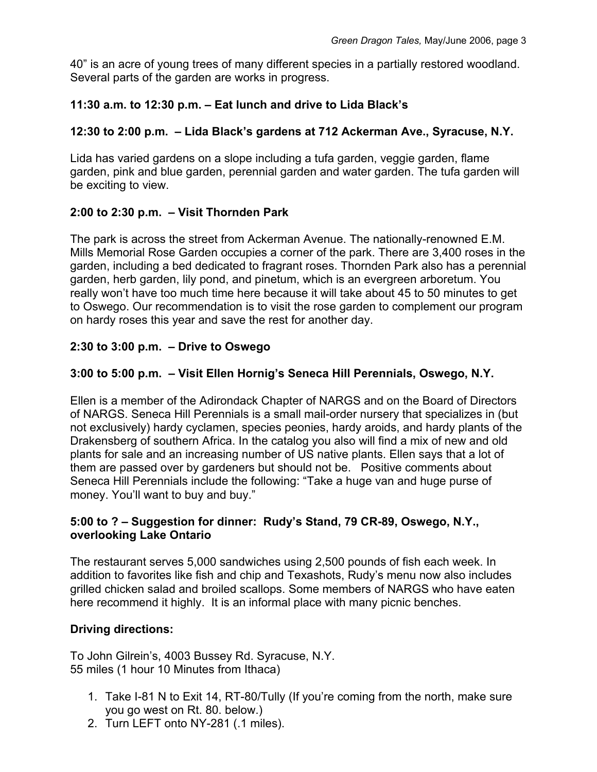40" is an acre of young trees of many different species in a partially restored woodland. Several parts of the garden are works in progress.

# **11:30 a.m. to 12:30 p.m. – Eat lunch and drive to Lida Black's**

## **12:30 to 2:00 p.m. – Lida Black's gardens at 712 Ackerman Ave., Syracuse, N.Y.**

Lida has varied gardens on a slope including a tufa garden, veggie garden, flame garden, pink and blue garden, perennial garden and water garden. The tufa garden will be exciting to view.

# **2:00 to 2:30 p.m. – Visit Thornden Park**

The park is across the street from Ackerman Avenue. The nationally-renowned E.M. Mills Memorial Rose Garden occupies a corner of the park. There are 3,400 roses in the garden, including a bed dedicated to fragrant roses. Thornden Park also has a perennial garden, herb garden, lily pond, and pinetum, which is an evergreen arboretum. You really won't have too much time here because it will take about 45 to 50 minutes to get to Oswego. Our recommendation is to visit the rose garden to complement our program on hardy roses this year and save the rest for another day.

# **2:30 to 3:00 p.m. – Drive to Oswego**

# **3:00 to 5:00 p.m. – Visit Ellen Hornig's Seneca Hill Perennials, Oswego, N.Y.**

Ellen is a member of the Adirondack Chapter of NARGS and on the Board of Directors of NARGS. Seneca Hill Perennials is a small mail-order nursery that specializes in (but not exclusively) hardy cyclamen, species peonies, hardy aroids, and hardy plants of the Drakensberg of southern Africa. In the catalog you also will find a mix of new and old plants for sale and an increasing number of US native plants. Ellen says that a lot of them are passed over by gardeners but should not be. Positive comments about Seneca Hill Perennials include the following: "Take a huge van and huge purse of money. You'll want to buy and buy."

### **5:00 to ? – Suggestion for dinner: Rudy's Stand, 79 CR-89, Oswego, N.Y., overlooking Lake Ontario**

The restaurant serves 5,000 sandwiches using 2,500 pounds of fish each week. In addition to favorites like fish and chip and Texashots, Rudy's menu now also includes grilled chicken salad and broiled scallops. Some members of NARGS who have eaten here recommend it highly. It is an informal place with many picnic benches.

## **Driving directions:**

To John Gilrein's, 4003 Bussey Rd. Syracuse, N.Y. 55 miles (1 hour 10 Minutes from Ithaca)

- 1. Take I-81 N to Exit 14, RT-80/Tully (If you're coming from the north, make sure you go west on Rt. 80. below.)
- 2. Turn LEFT onto NY-281 (.1 miles).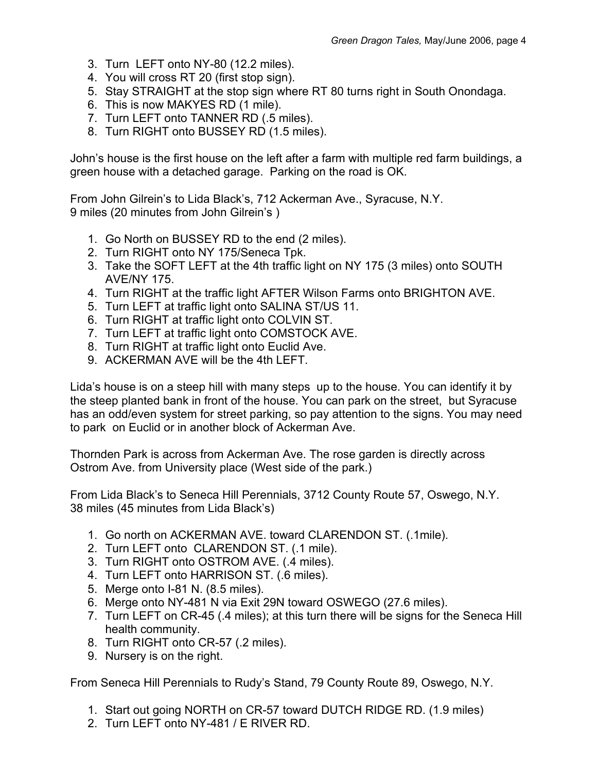- 3. Turn LEFT onto NY-80 (12.2 miles).
- 4. You will cross RT 20 (first stop sign).
- 5. Stay STRAIGHT at the stop sign where RT 80 turns right in South Onondaga.
- 6. This is now MAKYES RD (1 mile).
- 7. Turn LEFT onto TANNER RD (.5 miles).
- 8. Turn RIGHT onto BUSSEY RD (1.5 miles).

John's house is the first house on the left after a farm with multiple red farm buildings, a green house with a detached garage. Parking on the road is OK.

From John Gilrein's to Lida Black's, 712 Ackerman Ave., Syracuse, N.Y. 9 miles (20 minutes from John Gilrein's )

- 1. Go North on BUSSEY RD to the end (2 miles).
- 2. Turn RIGHT onto NY 175/Seneca Tpk.
- 3. Take the SOFT LEFT at the 4th traffic light on NY 175 (3 miles) onto SOUTH AVE/NY 175.
- 4. Turn RIGHT at the traffic light AFTER Wilson Farms onto BRIGHTON AVE.
- 5. Turn LEFT at traffic light onto SALINA ST/US 11.
- 6. Turn RIGHT at traffic light onto COLVIN ST.
- 7. Turn LEFT at traffic light onto COMSTOCK AVE.
- 8. Turn RIGHT at traffic light onto Euclid Ave.
- 9. ACKERMAN AVE will be the 4th LEFT.

Lida's house is on a steep hill with many steps up to the house. You can identify it by the steep planted bank in front of the house. You can park on the street, but Syracuse has an odd/even system for street parking, so pay attention to the signs. You may need to park on Euclid or in another block of Ackerman Ave.

Thornden Park is across from Ackerman Ave. The rose garden is directly across Ostrom Ave. from University place (West side of the park.)

From Lida Black's to Seneca Hill Perennials, 3712 County Route 57, Oswego, N.Y. 38 miles (45 minutes from Lida Black's)

- 1. Go north on ACKERMAN AVE. toward CLARENDON ST. (.1mile).
- 2. Turn LEFT onto CLARENDON ST. (.1 mile).
- 3. Turn RIGHT onto OSTROM AVE. (.4 miles).
- 4. Turn LEFT onto HARRISON ST. (.6 miles).
- 5. Merge onto I-81 N. (8.5 miles).
- 6. Merge onto NY-481 N via Exit 29N toward OSWEGO (27.6 miles).
- 7. Turn LEFT on CR-45 (.4 miles); at this turn there will be signs for the Seneca Hill health community.
- 8. Turn RIGHT onto CR-57 (.2 miles).
- 9. Nursery is on the right.

From Seneca Hill Perennials to Rudy's Stand, 79 County Route 89, Oswego, N.Y.

- 1. Start out going NORTH on CR-57 toward DUTCH RIDGE RD. (1.9 miles)
- 2. Turn LEFT onto NY-481 / E RIVER RD.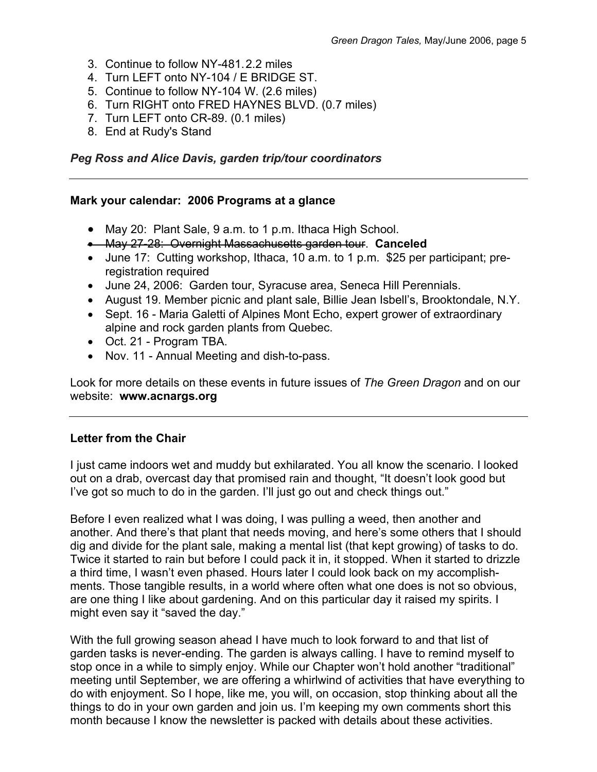- 3. Continue to follow NY-481. 2.2 miles
- 4. Turn LEFT onto NY-104 / E BRIDGE ST.
- 5. Continue to follow NY-104 W. (2.6 miles)
- 6. Turn RIGHT onto FRED HAYNES BLVD. (0.7 miles)
- 7. Turn LEFT onto CR-89. (0.1 miles)
- 8. End at Rudy's Stand

### *Peg Ross and Alice Davis, garden trip/tour coordinators*

### **Mark your calendar: 2006 Programs at a glance**

- May 20: Plant Sale, 9 a.m. to 1 p.m. Ithaca High School.
- May 27-28: Overnight Massachusetts garden tour. **Canceled**
- June 17: Cutting workshop, Ithaca, 10 a.m. to 1 p.m. \$25 per participant; preregistration required
- June 24, 2006: Garden tour, Syracuse area, Seneca Hill Perennials.
- August 19. Member picnic and plant sale, Billie Jean Isbell's, Brooktondale, N.Y.
- Sept. 16 Maria Galetti of Alpines Mont Echo, expert grower of extraordinary alpine and rock garden plants from Quebec.
- Oct. 21 Program TBA.
- Nov. 11 Annual Meeting and dish-to-pass.

Look for more details on these events in future issues of *The Green Dragon* and on our website: **www.acnargs.org**

## **Letter from the Chair**

I just came indoors wet and muddy but exhilarated. You all know the scenario. I looked out on a drab, overcast day that promised rain and thought, "It doesn't look good but I've got so much to do in the garden. I'll just go out and check things out."

Before I even realized what I was doing, I was pulling a weed, then another and another. And there's that plant that needs moving, and here's some others that I should dig and divide for the plant sale, making a mental list (that kept growing) of tasks to do. Twice it started to rain but before I could pack it in, it stopped. When it started to drizzle a third time, I wasn't even phased. Hours later I could look back on my accomplishments. Those tangible results, in a world where often what one does is not so obvious, are one thing I like about gardening. And on this particular day it raised my spirits. I might even say it "saved the day."

With the full growing season ahead I have much to look forward to and that list of garden tasks is never-ending. The garden is always calling. I have to remind myself to stop once in a while to simply enjoy. While our Chapter won't hold another "traditional" meeting until September, we are offering a whirlwind of activities that have everything to do with enjoyment. So I hope, like me, you will, on occasion, stop thinking about all the things to do in your own garden and join us. I'm keeping my own comments short this month because I know the newsletter is packed with details about these activities.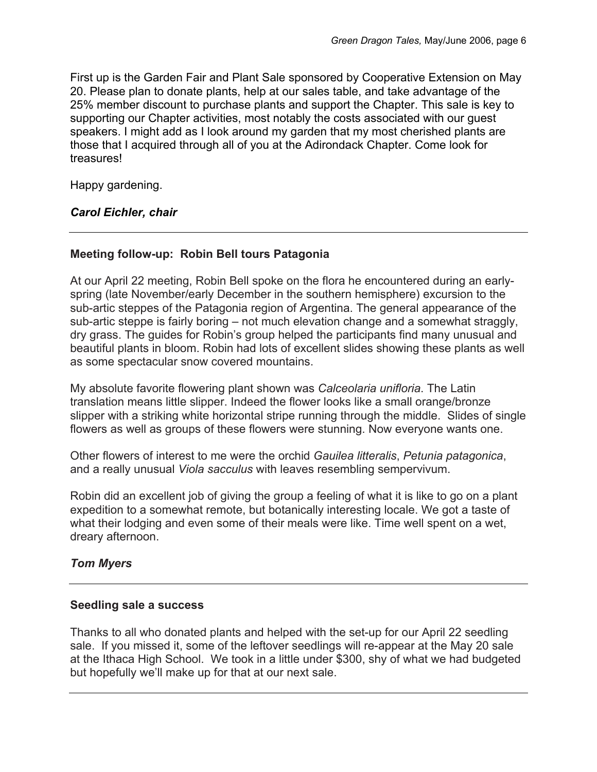First up is the Garden Fair and Plant Sale sponsored by Cooperative Extension on May 20. Please plan to donate plants, help at our sales table, and take advantage of the 25% member discount to purchase plants and support the Chapter. This sale is key to supporting our Chapter activities, most notably the costs associated with our guest speakers. I might add as I look around my garden that my most cherished plants are those that I acquired through all of you at the Adirondack Chapter. Come look for treasures!

Happy gardening.

## *Carol Eichler, chair*

### **Meeting follow-up: Robin Bell tours Patagonia**

At our April 22 meeting, Robin Bell spoke on the flora he encountered during an earlyspring (late November/early December in the southern hemisphere) excursion to the sub-artic steppes of the Patagonia region of Argentina. The general appearance of the sub-artic steppe is fairly boring – not much elevation change and a somewhat straggly. dry grass. The guides for Robin's group helped the participants find many unusual and beautiful plants in bloom. Robin had lots of excellent slides showing these plants as well as some spectacular snow covered mountains.

My absolute favorite flowering plant shown was *Calceolaria unifloria*. The Latin translation means little slipper. Indeed the flower looks like a small orange/bronze slipper with a striking white horizontal stripe running through the middle. Slides of single flowers as well as groups of these flowers were stunning. Now everyone wants one.

Other flowers of interest to me were the orchid *Gauilea litteralis*, *Petunia patagonica*, and a really unusual *Viola sacculus* with leaves resembling sempervivum.

Robin did an excellent job of giving the group a feeling of what it is like to go on a plant expedition to a somewhat remote, but botanically interesting locale. We got a taste of what their lodging and even some of their meals were like. Time well spent on a wet, dreary afternoon.

## *Tom Myers*

### **Seedling sale a success**

Thanks to all who donated plants and helped with the set-up for our April 22 seedling sale. If you missed it, some of the leftover seedlings will re-appear at the May 20 sale at the Ithaca High School. We took in a little under \$300, shy of what we had budgeted but hopefully we'll make up for that at our next sale.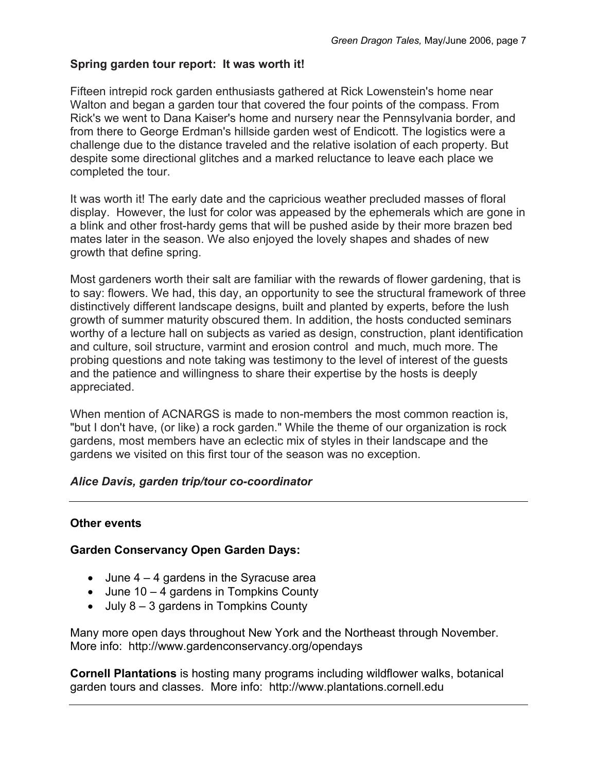## **Spring garden tour report: It was worth it!**

Fifteen intrepid rock garden enthusiasts gathered at Rick Lowenstein's home near Walton and began a garden tour that covered the four points of the compass. From Rick's we went to Dana Kaiser's home and nursery near the Pennsylvania border, and from there to George Erdman's hillside garden west of Endicott. The logistics were a challenge due to the distance traveled and the relative isolation of each property. But despite some directional glitches and a marked reluctance to leave each place we completed the tour.

It was worth it! The early date and the capricious weather precluded masses of floral display. However, the lust for color was appeased by the ephemerals which are gone in a blink and other frost-hardy gems that will be pushed aside by their more brazen bed mates later in the season. We also enjoyed the lovely shapes and shades of new growth that define spring.

Most gardeners worth their salt are familiar with the rewards of flower gardening, that is to say: flowers. We had, this day, an opportunity to see the structural framework of three distinctively different landscape designs, built and planted by experts, before the lush growth of summer maturity obscured them. In addition, the hosts conducted seminars worthy of a lecture hall on subjects as varied as design, construction, plant identification and culture, soil structure, varmint and erosion control and much, much more. The probing questions and note taking was testimony to the level of interest of the guests and the patience and willingness to share their expertise by the hosts is deeply appreciated.

When mention of ACNARGS is made to non-members the most common reaction is, "but I don't have, (or like) a rock garden." While the theme of our organization is rock gardens, most members have an eclectic mix of styles in their landscape and the gardens we visited on this first tour of the season was no exception.

### *Alice Davis, garden trip/tour co-coordinator*

### **Other events**

### **Garden Conservancy Open Garden Days:**

- $\bullet$  June 4 4 gardens in the Syracuse area
- June 10 4 gardens in Tompkins County
- July 8 3 gardens in Tompkins County

Many more open days throughout New York and the Northeast through November. More info: http://www.gardenconservancy.org/opendays

**Cornell Plantations** is hosting many programs including wildflower walks, botanical garden tours and classes. More info: http://www.plantations.cornell.edu